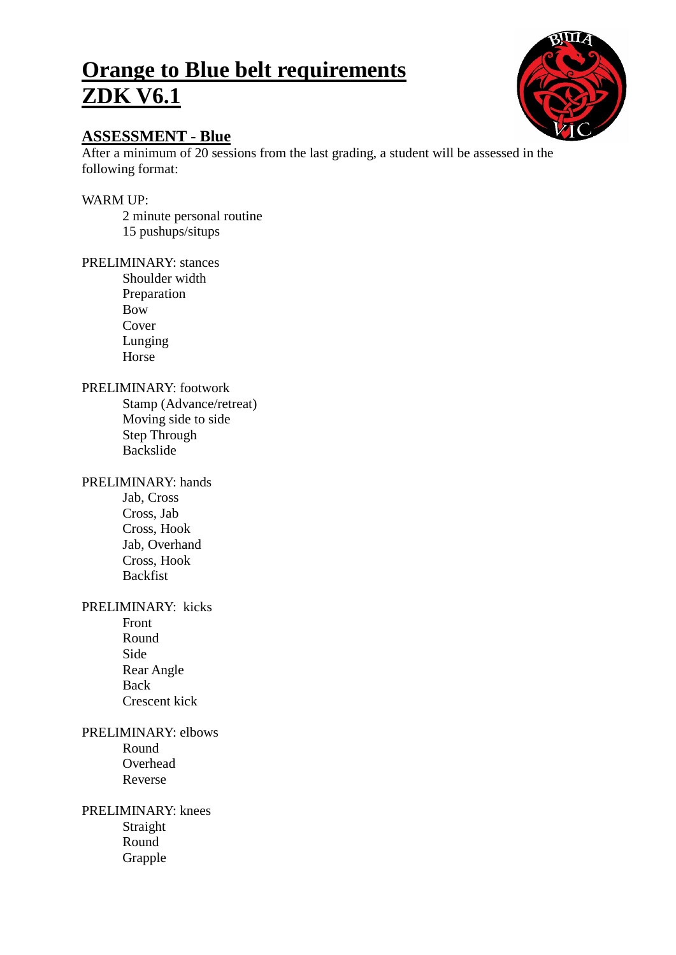# **Orange to Blue belt requirements ZDK V6.1**



# **ASSESSMENT - Blue**

After a minimum of 20 sessions from the last grading, a student will be assessed in the following format:

# WARM UP:

2 minute personal routine 15 pushups/situps

#### PRELIMINARY: stances

Shoulder width Preparation Bow Cover Lunging Horse

#### PRELIMINARY: footwork

Stamp (Advance/retreat) Moving side to side Step Through Backslide

#### PRELIMINARY: hands

Jab, Cross Cross, Jab Cross, Hook Jab, Overhand Cross, Hook Backfist

## PRELIMINARY: kicks

Front Round Side Rear Angle Back Crescent kick

# PRELIMINARY: elbows

Round Overhead Reverse

## PRELIMINARY: knees Straight Round

Grapple